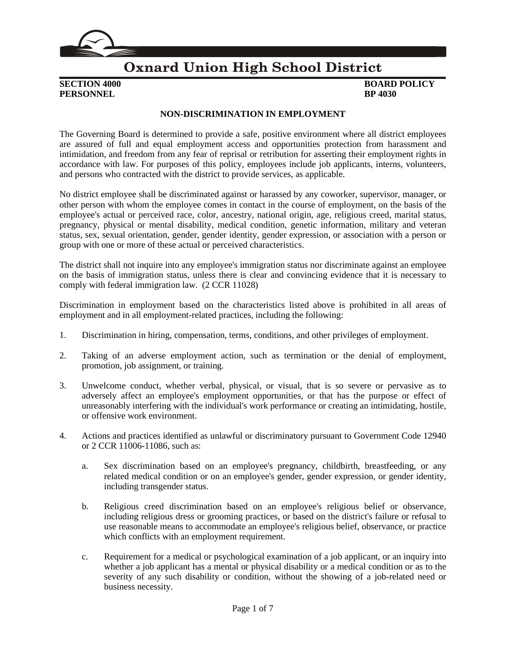

### **Oxnard Union High School District**

**PERSONNEL BP** 4030

## **SECTION 4000 BOARD POLICY**

### **NON-DISCRIMINATION IN EMPLOYMENT**

The Governing Board is determined to provide a safe, positive environment where all district employees are assured of full and equal employment access and opportunities protection from harassment and intimidation, and freedom from any fear of reprisal or retribution for asserting their employment rights in accordance with law. For purposes of this policy, employees include job applicants, interns, volunteers, and persons who contracted with the district to provide services, as applicable.

No district employee shall be discriminated against or harassed by any coworker, supervisor, manager, or other person with whom the employee comes in contact in the course of employment, on the basis of the employee's actual or perceived race, color, ancestry, national origin, age, religious creed, marital status, pregnancy, physical or mental disability, medical condition, genetic information, military and veteran status, sex, sexual orientation, gender, gender identity, gender expression, or association with a person or group with one or more of these actual or perceived characteristics.

The district shall not inquire into any employee's immigration status nor discriminate against an employee on the basis of immigration status, unless there is clear and convincing evidence that it is necessary to comply with federal immigration law. (2 CCR 11028)

Discrimination in employment based on the characteristics listed above is prohibited in all areas of employment and in all employment-related practices, including the following:

- 1. Discrimination in hiring, compensation, terms, conditions, and other privileges of employment.
- 2. Taking of an adverse employment action, such as termination or the denial of employment, promotion, job assignment, or training.
- 3. Unwelcome conduct, whether verbal, physical, or visual, that is so severe or pervasive as to adversely affect an employee's employment opportunities, or that has the purpose or effect of unreasonably interfering with the individual's work performance or creating an intimidating, hostile, or offensive work environment.
- 4. Actions and practices identified as unlawful or discriminatory pursuant to Government Code 12940 or 2 CCR 11006-11086, such as:
	- a. Sex discrimination based on an employee's pregnancy, childbirth, breastfeeding, or any related medical condition or on an employee's gender, gender expression, or gender identity, including transgender status.
	- b. Religious creed discrimination based on an employee's religious belief or observance, including religious dress or grooming practices, or based on the district's failure or refusal to use reasonable means to accommodate an employee's religious belief, observance, or practice which conflicts with an employment requirement.
	- c. Requirement for a medical or psychological examination of a job applicant, or an inquiry into whether a job applicant has a mental or physical disability or a medical condition or as to the severity of any such disability or condition, without the showing of a job-related need or business necessity.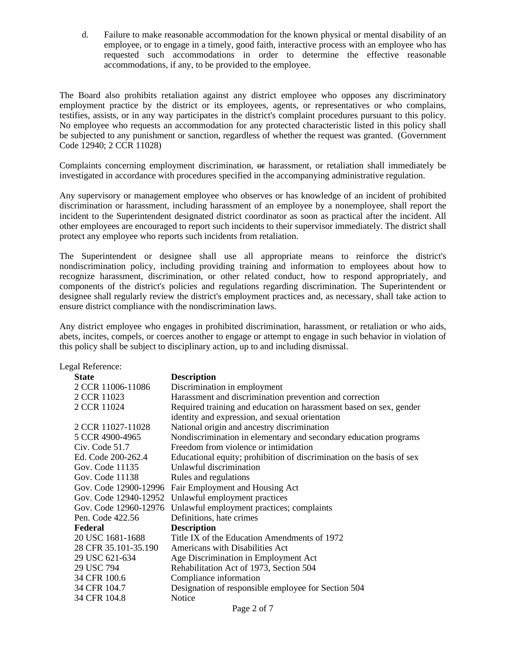d. Failure to make reasonable accommodation for the known physical or mental disability of an employee, or to engage in a timely, good faith, interactive process with an employee who has requested such accommodations in order to determine the effective reasonable accommodations, if any, to be provided to the employee.

The Board also prohibits retaliation against any district employee who opposes any discriminatory employment practice by the district or its employees, agents, or representatives or who complains, testifies, assists, or in any way participates in the district's complaint procedures pursuant to this policy. No employee who requests an accommodation for any protected characteristic listed in this policy shall be subjected to any punishment or sanction, regardless of whether the request was granted. (Government Code 12940; 2 CCR 11028)

Complaints concerning employment discrimination, or harassment, or retaliation shall immediately be investigated in accordance with procedures specified in the accompanying administrative regulation.

Any supervisory or management employee who observes or has knowledge of an incident of prohibited discrimination or harassment, including harassment of an employee by a nonemployee, shall report the incident to the Superintendent designated district coordinator as soon as practical after the incident. All other employees are encouraged to report such incidents to their supervisor immediately. The district shall protect any employee who reports such incidents from retaliation.

The Superintendent or designee shall use all appropriate means to reinforce the district's nondiscrimination policy, including providing training and information to employees about how to recognize harassment, discrimination, or other related conduct, how to respond appropriately, and components of the district's policies and regulations regarding discrimination. The Superintendent or designee shall regularly review the district's employment practices and, as necessary, shall take action to ensure district compliance with the nondiscrimination laws.

Any district employee who engages in prohibited discrimination, harassment, or retaliation or who aids, abets, incites, compels, or coerces another to engage or attempt to engage in such behavior in violation of this policy shall be subject to disciplinary action, up to and including dismissal.

|         | Legal Reference:     |                                                                                                                       |
|---------|----------------------|-----------------------------------------------------------------------------------------------------------------------|
|         | <b>State</b>         | <b>Description</b>                                                                                                    |
|         | 2 CCR 11006-11086    | Discrimination in employment                                                                                          |
|         | 2 CCR 11023          | Harassment and discrimination prevention and correction                                                               |
|         | 2 CCR 11024          | Required training and education on harassment based on sex, gender<br>identity and expression, and sexual orientation |
|         | 2 CCR 11027-11028    | National origin and ancestry discrimination                                                                           |
|         | 5 CCR 4900-4965      | Nondiscrimination in elementary and secondary education programs                                                      |
|         | Civ. Code 51.7       | Freedom from violence or intimidation                                                                                 |
|         | Ed. Code 200-262.4   | Educational equity; prohibition of discrimination on the basis of sex                                                 |
|         | Gov. Code 11135      | Unlawful discrimination                                                                                               |
|         | Gov. Code 11138      | Rules and regulations                                                                                                 |
|         |                      | Gov. Code 12900-12996 Fair Employment and Housing Act                                                                 |
|         |                      | Gov. Code 12940-12952 Unlawful employment practices                                                                   |
|         |                      | Gov. Code 12960-12976 Unlawful employment practices; complaints                                                       |
|         | Pen. Code 422.56     | Definitions, hate crimes                                                                                              |
| Federal |                      | <b>Description</b>                                                                                                    |
|         | 20 USC 1681-1688     | Title IX of the Education Amendments of 1972                                                                          |
|         | 28 CFR 35.101-35.190 | Americans with Disabilities Act                                                                                       |
|         | 29 USC 621-634       | Age Discrimination in Employment Act                                                                                  |
|         | 29 USC 794           | Rehabilitation Act of 1973, Section 504                                                                               |
|         | 34 CFR 100.6         | Compliance information                                                                                                |
|         | 34 CFR 104.7         | Designation of responsible employee for Section 504                                                                   |
|         | 34 CFR 104.8         | <b>Notice</b>                                                                                                         |
|         |                      |                                                                                                                       |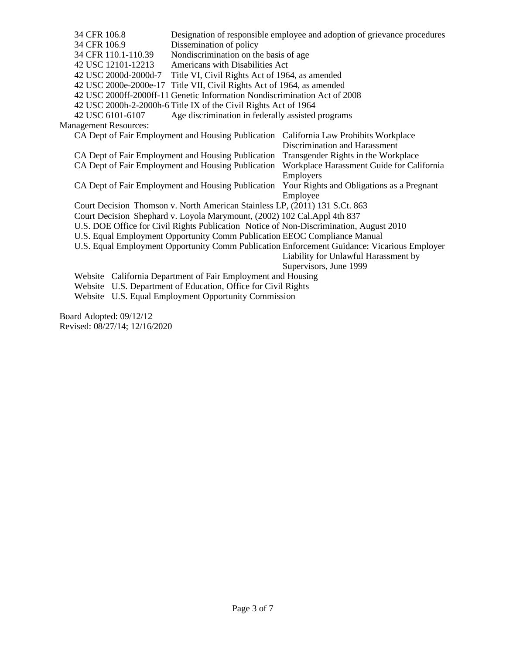| 34 CFR 106.8                                                                           |                                                                       | Designation of responsible employee and adoption of grievance procedures                    |  |  |  |
|----------------------------------------------------------------------------------------|-----------------------------------------------------------------------|---------------------------------------------------------------------------------------------|--|--|--|
| 34 CFR 106.9                                                                           | Dissemination of policy                                               |                                                                                             |  |  |  |
| 34 CFR 110.1-110.39                                                                    | Nondiscrimination on the basis of age                                 |                                                                                             |  |  |  |
| 42 USC 12101-12213                                                                     | Americans with Disabilities Act                                       |                                                                                             |  |  |  |
| 42 USC 2000d-2000d-7                                                                   | Title VI, Civil Rights Act of 1964, as amended                        |                                                                                             |  |  |  |
|                                                                                        | 42 USC 2000e-2000e-17 Title VII, Civil Rights Act of 1964, as amended |                                                                                             |  |  |  |
| 42 USC 2000ff-2000ff-11 Genetic Information Nondiscrimination Act of 2008              |                                                                       |                                                                                             |  |  |  |
| 42 USC 2000h-2-2000h-6 Title IX of the Civil Rights Act of 1964                        |                                                                       |                                                                                             |  |  |  |
| 42 USC 6101-6107                                                                       | Age discrimination in federally assisted programs                     |                                                                                             |  |  |  |
| <b>Management Resources:</b>                                                           |                                                                       |                                                                                             |  |  |  |
|                                                                                        |                                                                       | CA Dept of Fair Employment and Housing Publication California Law Prohibits Workplace       |  |  |  |
|                                                                                        |                                                                       | Discrimination and Harassment                                                               |  |  |  |
| CA Dept of Fair Employment and Housing Publication                                     |                                                                       | Transgender Rights in the Workplace                                                         |  |  |  |
|                                                                                        | CA Dept of Fair Employment and Housing Publication                    | Workplace Harassment Guide for California                                                   |  |  |  |
|                                                                                        |                                                                       | Employers                                                                                   |  |  |  |
|                                                                                        | CA Dept of Fair Employment and Housing Publication                    | Your Rights and Obligations as a Pregnant                                                   |  |  |  |
|                                                                                        |                                                                       | Employee                                                                                    |  |  |  |
| Court Decision Thomson v. North American Stainless LP, (2011) 131 S.Ct. 863            |                                                                       |                                                                                             |  |  |  |
| Court Decision Shephard v. Loyola Marymount, (2002) 102 Cal.Appl 4th 837               |                                                                       |                                                                                             |  |  |  |
| U.S. DOE Office for Civil Rights Publication Notice of Non-Discrimination, August 2010 |                                                                       |                                                                                             |  |  |  |
| U.S. Equal Employment Opportunity Comm Publication EEOC Compliance Manual              |                                                                       |                                                                                             |  |  |  |
|                                                                                        |                                                                       | U.S. Equal Employment Opportunity Comm Publication Enforcement Guidance: Vicarious Employer |  |  |  |
|                                                                                        |                                                                       | Liability for Unlawful Harassment by                                                        |  |  |  |
|                                                                                        |                                                                       | Supervisors, June 1999                                                                      |  |  |  |
| Website California Department of Fair Employment and Housing                           |                                                                       |                                                                                             |  |  |  |
| Website U.S. Department of Education, Office for Civil Rights                          |                                                                       |                                                                                             |  |  |  |
|                                                                                        | Website U.S. Equal Employment Opportunity Commission                  |                                                                                             |  |  |  |
|                                                                                        |                                                                       |                                                                                             |  |  |  |

Board Adopted: 09/12/12 Revised: 08/27/14; 12/16/2020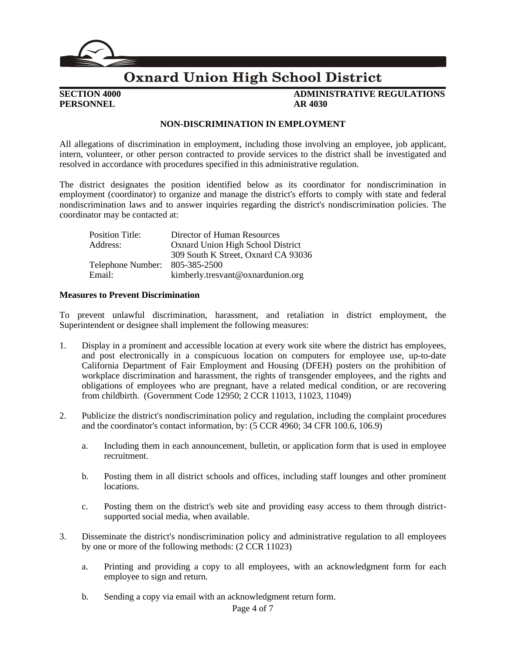

### **Oxnard Union High School District**

# **PERSONNEL AR 4030**

## **SECTION 4000 ADMINISTRATIVE REGULATIONS**

#### **NON-DISCRIMINATION IN EMPLOYMENT**

All allegations of discrimination in employment, including those involving an employee, job applicant, intern, volunteer, or other person contracted to provide services to the district shall be investigated and resolved in accordance with procedures specified in this administrative regulation.

The district designates the position identified below as its coordinator for nondiscrimination in employment (coordinator) to organize and manage the district's efforts to comply with state and federal nondiscrimination laws and to answer inquiries regarding the district's nondiscrimination policies. The coordinator may be contacted at:

| <b>Position Title:</b> | Director of Human Resources         |
|------------------------|-------------------------------------|
| Address:               | Oxnard Union High School District   |
|                        | 309 South K Street, Oxnard CA 93036 |
| Telephone Number:      | 805-385-2500                        |
| Email:                 | kimberly.tresvant@oxnardunion.org   |

#### **Measures to Prevent Discrimination**

To prevent unlawful discrimination, harassment, and retaliation in district employment, the Superintendent or designee shall implement the following measures:

- 1. Display in a prominent and accessible location at every work site where the district has employees, and post electronically in a conspicuous location on computers for employee use, up-to-date California Department of Fair Employment and Housing (DFEH) posters on the prohibition of workplace discrimination and harassment, the rights of transgender employees, and the rights and obligations of employees who are pregnant, have a related medical condition, or are recovering from childbirth. (Government Code 12950; 2 CCR 11013, 11023, 11049)
- 2. Publicize the district's nondiscrimination policy and regulation, including the complaint procedures and the coordinator's contact information, by: (5 CCR 4960; 34 CFR 100.6, 106.9)
	- a. Including them in each announcement, bulletin, or application form that is used in employee recruitment.
	- b. Posting them in all district schools and offices, including staff lounges and other prominent locations.
	- c. Posting them on the district's web site and providing easy access to them through districtsupported social media, when available.
- 3. Disseminate the district's nondiscrimination policy and administrative regulation to all employees by one or more of the following methods: (2 CCR 11023)
	- a. Printing and providing a copy to all employees, with an acknowledgment form for each employee to sign and return.
	- b. Sending a copy via email with an acknowledgment return form.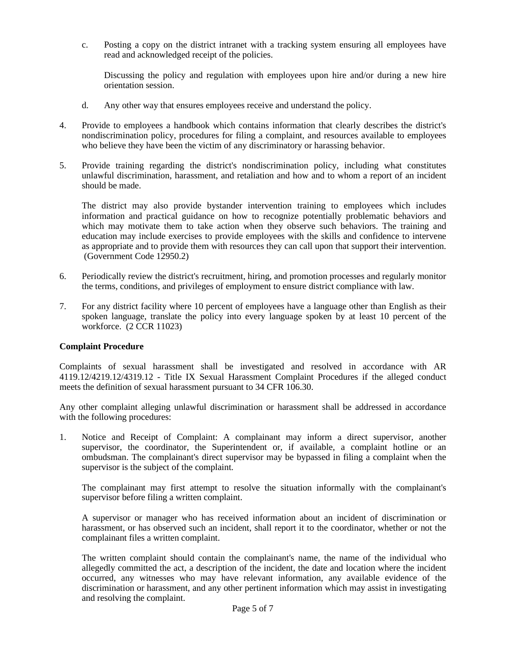c. Posting a copy on the district intranet with a tracking system ensuring all employees have read and acknowledged receipt of the policies.

Discussing the policy and regulation with employees upon hire and/or during a new hire orientation session.

- d. Any other way that ensures employees receive and understand the policy.
- 4. Provide to employees a handbook which contains information that clearly describes the district's nondiscrimination policy, procedures for filing a complaint, and resources available to employees who believe they have been the victim of any discriminatory or harassing behavior.
- 5. Provide training regarding the district's nondiscrimination policy, including what constitutes unlawful discrimination, harassment, and retaliation and how and to whom a report of an incident should be made.

The district may also provide bystander intervention training to employees which includes information and practical guidance on how to recognize potentially problematic behaviors and which may motivate them to take action when they observe such behaviors. The training and education may include exercises to provide employees with the skills and confidence to intervene as appropriate and to provide them with resources they can call upon that support their intervention. (Government Code 12950.2)

- 6. Periodically review the district's recruitment, hiring, and promotion processes and regularly monitor the terms, conditions, and privileges of employment to ensure district compliance with law.
- 7. For any district facility where 10 percent of employees have a language other than English as their spoken language, translate the policy into every language spoken by at least 10 percent of the workforce. (2 CCR 11023)

#### **Complaint Procedure**

Complaints of sexual harassment shall be investigated and resolved in accordance with AR 4119.12/4219.12/4319.12 - Title IX Sexual Harassment Complaint Procedures if the alleged conduct meets the definition of sexual harassment pursuant to 34 CFR 106.30.

Any other complaint alleging unlawful discrimination or harassment shall be addressed in accordance with the following procedures:

1. Notice and Receipt of Complaint: A complainant may inform a direct supervisor, another supervisor, the coordinator, the Superintendent or, if available, a complaint hotline or an ombudsman. The complainant's direct supervisor may be bypassed in filing a complaint when the supervisor is the subject of the complaint.

The complainant may first attempt to resolve the situation informally with the complainant's supervisor before filing a written complaint.

A supervisor or manager who has received information about an incident of discrimination or harassment, or has observed such an incident, shall report it to the coordinator, whether or not the complainant files a written complaint.

The written complaint should contain the complainant's name, the name of the individual who allegedly committed the act, a description of the incident, the date and location where the incident occurred, any witnesses who may have relevant information, any available evidence of the discrimination or harassment, and any other pertinent information which may assist in investigating and resolving the complaint.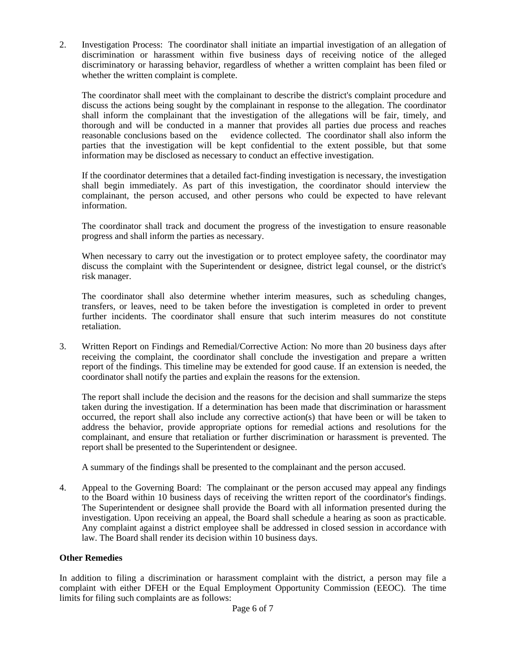2. Investigation Process: The coordinator shall initiate an impartial investigation of an allegation of discrimination or harassment within five business days of receiving notice of the alleged discriminatory or harassing behavior, regardless of whether a written complaint has been filed or whether the written complaint is complete.

The coordinator shall meet with the complainant to describe the district's complaint procedure and discuss the actions being sought by the complainant in response to the allegation. The coordinator shall inform the complainant that the investigation of the allegations will be fair, timely, and thorough and will be conducted in a manner that provides all parties due process and reaches reasonable conclusions based on the evidence collected. The coordinator shall also inform the parties that the investigation will be kept confidential to the extent possible, but that some information may be disclosed as necessary to conduct an effective investigation.

If the coordinator determines that a detailed fact-finding investigation is necessary, the investigation shall begin immediately. As part of this investigation, the coordinator should interview the complainant, the person accused, and other persons who could be expected to have relevant information.

The coordinator shall track and document the progress of the investigation to ensure reasonable progress and shall inform the parties as necessary.

When necessary to carry out the investigation or to protect employee safety, the coordinator may discuss the complaint with the Superintendent or designee, district legal counsel, or the district's risk manager.

The coordinator shall also determine whether interim measures, such as scheduling changes, transfers, or leaves, need to be taken before the investigation is completed in order to prevent further incidents. The coordinator shall ensure that such interim measures do not constitute retaliation.

3. Written Report on Findings and Remedial/Corrective Action: No more than 20 business days after receiving the complaint, the coordinator shall conclude the investigation and prepare a written report of the findings. This timeline may be extended for good cause. If an extension is needed, the coordinator shall notify the parties and explain the reasons for the extension.

The report shall include the decision and the reasons for the decision and shall summarize the steps taken during the investigation. If a determination has been made that discrimination or harassment occurred, the report shall also include any corrective action(s) that have been or will be taken to address the behavior, provide appropriate options for remedial actions and resolutions for the complainant, and ensure that retaliation or further discrimination or harassment is prevented. The report shall be presented to the Superintendent or designee.

A summary of the findings shall be presented to the complainant and the person accused.

4. Appeal to the Governing Board: The complainant or the person accused may appeal any findings to the Board within 10 business days of receiving the written report of the coordinator's findings. The Superintendent or designee shall provide the Board with all information presented during the investigation. Upon receiving an appeal, the Board shall schedule a hearing as soon as practicable. Any complaint against a district employee shall be addressed in closed session in accordance with law. The Board shall render its decision within 10 business days.

### **Other Remedies**

In addition to filing a discrimination or harassment complaint with the district, a person may file a complaint with either DFEH or the Equal Employment Opportunity Commission (EEOC). The time limits for filing such complaints are as follows: